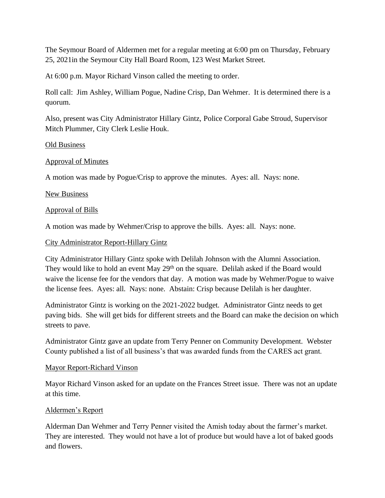The Seymour Board of Aldermen met for a regular meeting at 6:00 pm on Thursday, February 25, 2021in the Seymour City Hall Board Room, 123 West Market Street.

At 6:00 p.m. Mayor Richard Vinson called the meeting to order.

Roll call: Jim Ashley, William Pogue, Nadine Crisp, Dan Wehmer. It is determined there is a quorum.

Also, present was City Administrator Hillary Gintz, Police Corporal Gabe Stroud, Supervisor Mitch Plummer, City Clerk Leslie Houk.

## Old Business

## Approval of Minutes

A motion was made by Pogue/Crisp to approve the minutes. Ayes: all. Nays: none.

## New Business

## Approval of Bills

A motion was made by Wehmer/Crisp to approve the bills. Ayes: all. Nays: none.

## City Administrator Report-Hillary Gintz

City Administrator Hillary Gintz spoke with Delilah Johnson with the Alumni Association. They would like to hold an event May 29<sup>th</sup> on the square. Delilah asked if the Board would waive the license fee for the vendors that day. A motion was made by Wehmer/Pogue to waive the license fees. Ayes: all. Nays: none. Abstain: Crisp because Delilah is her daughter.

Administrator Gintz is working on the 2021-2022 budget. Administrator Gintz needs to get paving bids. She will get bids for different streets and the Board can make the decision on which streets to pave.

Administrator Gintz gave an update from Terry Penner on Community Development. Webster County published a list of all business's that was awarded funds from the CARES act grant.

## Mayor Report-Richard Vinson

Mayor Richard Vinson asked for an update on the Frances Street issue. There was not an update at this time.

# Aldermen's Report

Alderman Dan Wehmer and Terry Penner visited the Amish today about the farmer's market. They are interested. They would not have a lot of produce but would have a lot of baked goods and flowers.